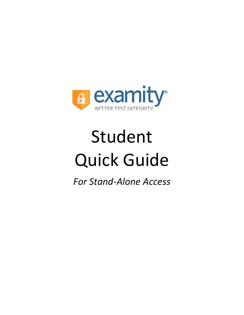

# Student Quick Guide

*For Stand-Alone Access*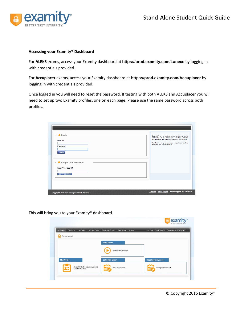

## **Accessing your Examity® Dashboard**

For **ALEKS** exams, access your Examity dashboard at **<https://prod.examity.com/Lanecc>** by logging in with credentials provided.

For **Accuplacer** exams, access your Examity dashboard at **<https://prod.examity.com/Accuplacer>** by logging in with credentials provided.

Once logged in you will need to reset the password. If testing with both ALEKS and Accuplacer you will need to set up two Examity profiles, one on each page. Please use the same password across both profiles.

| User ID<br>Password<br>LOG IN<br><b>R</b> Forgot Your Password<br>Enter Your User ID |  | Examity® is the leading remote proctoring service<br>worldwide. Our end-to-end solution includes<br>authentication, live monitoring, recording and auditing.<br>Test-takers enjoy a seamless experience anytime,<br>anywhere with lots of flexibility. |
|--------------------------------------------------------------------------------------|--|--------------------------------------------------------------------------------------------------------------------------------------------------------------------------------------------------------------------------------------------------------|
| <b>GET PASSWORD</b>                                                                  |  |                                                                                                                                                                                                                                                        |

This will bring you to your Examity® dashboard.

| Dashboard      | My Profile<br><b>Start Exam</b> | <b>Schedule Exam</b>                 | Reschedule/Cancel    | Exam Tools            | Logout | Live Chat   Email Support |                     | Phone Support: 855-EXAMITY |
|----------------|---------------------------------|--------------------------------------|----------------------|-----------------------|--------|---------------------------|---------------------|----------------------------|
| ܘ<br>Dashboard |                                 |                                      |                      |                       |        |                           |                     |                            |
|                |                                 |                                      | <b>Start Exam</b>    |                       |        |                           |                     |                            |
|                |                                 |                                      |                      | Begin scheduled exam. |        |                           |                     |                            |
|                |                                 |                                      |                      |                       |        |                           |                     |                            |
| My Profile     |                                 |                                      | <b>Schedule Exam</b> |                       |        | Reschedule/Cancel         |                     |                            |
|                |                                 | Upload ID. Enter security questions. |                      | Make appointment.     |        | $\mathbb{H}$              | Change appointment. |                            |

*Communication*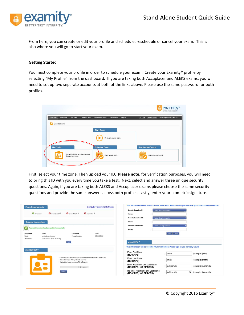

From here, you can create or edit your profile and schedule, reschedule or cancel your exam. This is also where you will go to start your exam.

# **Getting Started**

You must complete your profile in order to schedule your exam. Create your Examity<sup>®</sup> profile by selecting "My Profile" from the dashboard. If you are taking both Accuplacer and ALEKS exams, you will need to set up two separate accounts at both of the links above. Please use the same password for both profiles.

| Dashboard<br>Dashboard | My Profile<br>Start Exam | <b>Schedule Exam</b> | Reschedule/Cancel | Exam Tools<br>Logout  | Live Chat   Email Support | Phone Support: 855-EXAMITY |
|------------------------|--------------------------|----------------------|-------------------|-----------------------|---------------------------|----------------------------|
|                        |                          |                      | <b>Start Exam</b> |                       |                           |                            |
|                        |                          |                      |                   | Begin scheduled exam. |                           |                            |
|                        |                          |                      |                   |                       |                           |                            |
| <b>My Profile</b>      |                          |                      | Schedule Exam     |                       | Reschedule/Cancel         |                            |

First, select your time zone. Then upload your ID. **Please note**, for verification purposes, you will need to bring this ID with you every time you take a test. Next, select and answer three unique security questions. Again, if you are taking both ALEKS and Accuplacer exams please choose the same security questions and provide the same answers across both profiles. Lastly, enter your biometric signature.

| <b>Computer Requirements Check</b><br><b>Exam Requirements</b>                                                                                                                 | This information will be used for future verification. Please select questions that you can accurately remember. |
|--------------------------------------------------------------------------------------------------------------------------------------------------------------------------------|------------------------------------------------------------------------------------------------------------------|
| $\Theta$ examiKNOW <sup>®</sup><br>$\mathbf{Q}_{\text{examiKEY}}$<br><b>Q</b> examiSHOW <sup>®</sup><br><b>O</b> Time zone                                                     | <b>Security Question #1</b><br>--Select Security question--<br>Answer                                            |
|                                                                                                                                                                                | <b>Security Question #2</b><br>--Select Security question--                                                      |
| <b>Account Information</b>                                                                                                                                                     | Answer                                                                                                           |
|                                                                                                                                                                                | <b>Security Question #3</b><br>--Select Security question--                                                      |
| ccount information has been updated successfully.                                                                                                                              | Answer                                                                                                           |
| <b>Last Name</b><br>Smith<br><b>First Name</b><br>Jackie<br>5555555555<br>smith@examity.com<br><b>Phone Number</b><br>Email<br>Eastern Time (UTC-05.00.00)<br><b>Time Zone</b> | Cancel<br>Save                                                                                                   |
| Edit                                                                                                                                                                           | examiKEY <sup>®</sup>                                                                                            |
| examiSHOW <sup>®</sup>                                                                                                                                                         | This information will be used for future verification. Please type as you normally would.                        |
|                                                                                                                                                                                | <b>Enter First Name</b><br>i jackie<br>(example: john)<br>(NO CAPS)                                              |
| · Take a picture of your photo ID using a smartphone, camera or webcam.<br>· Save the image of the picture to your PC.<br>• Upload the image from your PC to Examity.          | Enter Last Name<br>smith<br>(example: smith)<br>(NO CAPS)                                                        |
| Browse                                                                                                                                                                         | Enter First Name and Last Name<br>jackiesmith<br>(example: johnsmith)<br>(NO CAPS, NO SPACES)                    |
| Upload                                                                                                                                                                         | Re-enter First Name and Last Name<br>: jackiesmith<br>$\times$ (example: johnsmith)<br>(NO CAPS, NO SPACES)      |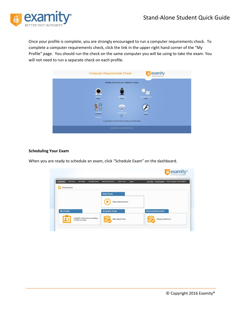

Once your profile is complete, you are strongly encouraged to run a computer requirements check. To complete a computer requirements check, click the link in the upper right hand corner of the "My Profile" page. You should run the check on the same computer you will be using to take the exam. You will not need to run a separate check on each profile.



# **Scheduling Your Exam**

When you are ready to schedule an exam, click "Schedule Exam" on the dashboard.

| Dashboard  | Start Exam<br>My Profile | <b>Schedule Exam</b><br>Reschedule/Cancel | Exam Tools            | Logout | Live Chat   Email Support  <br>Phone Support: 855-EXAMITY |
|------------|--------------------------|-------------------------------------------|-----------------------|--------|-----------------------------------------------------------|
| Dashboard  |                          |                                           |                       |        |                                                           |
|            |                          | <b>Start Exam</b>                         |                       |        |                                                           |
|            |                          |                                           | Begin scheduled exam. |        |                                                           |
|            |                          | <b>Schedule Exam</b>                      |                       |        | Reschedule/Cancel                                         |
| My Profile |                          |                                           |                       |        |                                                           |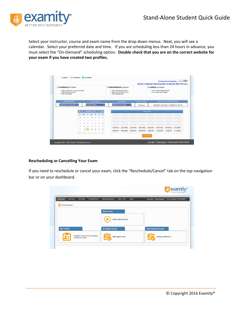

Select your instructor, course and exam name from the drop down menus. Next, you will see a calendar. Select your preferred date and time. If you are scheduling less than 24 hours in advance, you must select the "On-Demand" scheduling option. **Double check that you are on the correct website for your exam if you have created two profiles.** 

| <b>To SCHEDULE an Exam:</b><br>· Select Instructor, Course and Exam.<br>· Select Date and Time.<br>· Click "Schedule." |                    |                         |          |                             |                               |                  |          | To RESCHEDULE an Exam:<br>· Click "Reschedule Fxam."<br>· Select new Date and Time.<br>· Click "Reschedule." |                 |                                           |                               |                                | <b>To CANCEL an Exam:</b><br>· Click "Cancel Appointment."<br>· Yes in pop-up message. |          |          |
|------------------------------------------------------------------------------------------------------------------------|--------------------|-------------------------|----------|-----------------------------|-------------------------------|------------------|----------|--------------------------------------------------------------------------------------------------------------|-----------------|-------------------------------------------|-------------------------------|--------------------------------|----------------------------------------------------------------------------------------|----------|----------|
| <b>Instructor Name</b>                                                                                                 | <b>Course Name</b> |                         |          |                             |                               | <b>Exam Name</b> |          | <b>Exam Duration</b>                                                                                         |                 |                                           | Exam can be scheduled between |                                |                                                                                        |          |          |
| Test Instructor Test Instru                                                                                            |                    | <b>Proctor Training</b> |          | <b>Mock Proctor Session</b> |                               | 5 Minutes        |          |                                                                                                              |                 | 10/26/2015 12:00 AM - 11/28/2015 11:59 PM |                               |                                |                                                                                        |          |          |
|                                                                                                                        | Su                 | Mo                      | Tu       | We                          | 44 4 November 2015 > >><br>Th | Fr.              | Sa       | 12:00 AM                                                                                                     | 12:30 AM        | <b>OT OD AM</b>                           | 01:30 AM                      | <b>Select Time</b><br>02:00 AM | 02-30 AM                                                                               | 03:00 AM | 03:30 AM |
|                                                                                                                        | 25                 | 26                      | 27       | 28                          | 29                            | 30               | 31       | 04:00 AM                                                                                                     | 04:30:AM        | 05:00 AM                                  | 05:30 AM                      | 06:00 AM                       | OB 30 AM                                                                               | 07:00 AM | 07:30 AM |
|                                                                                                                        |                    |                         |          | $\Delta$                    | S.                            | 6                |          | <b>DROO AM</b>                                                                                               | <b>OR:30 AM</b> | <b>GRIDD AM</b>                           | 09:30 AM                      | 10:00 AM                       | 10:30 AM                                                                               | 11:00 AM | 11:30 AM |
|                                                                                                                        | 找                  | n                       |          | 11                          | 12                            | 13 <sup>°</sup>  | 14       | 12:00 PM                                                                                                     | 12:30 PM        | 01.00 PM                                  | D1:30 PM                      | 02:00 PM                       | 02:30 PM                                                                               | 03:00 PM | 03:30 PM |
|                                                                                                                        | 15<br>22           | 16<br>23                | 17<br>24 | 18<br>25                    | $10 -$<br>26                  | 20<br>27         | 21<br>28 | 04:00 PM                                                                                                     | 04:30 PM        | 05:00 PM                                  | 05:30 PM                      | 06:00 PM                       | 06:30 PM                                                                               | 07:00 PM | 07:30 PM |
|                                                                                                                        | 29                 | 30                      |          |                             |                               | $\mathcal{A}$    | -5       | 08:00 PM                                                                                                     | 08:30 PM        | 09:00 PM                                  | 09:30 PM                      | 10:00 PM                       | 10:30 PM                                                                               | 11:00 PM | 11:30 PM |

# **Rescheduling or Cancelling Your Exam**

If you need to reschedule or cancel your exam, click the "Reschedule/Cancel" tab on the top navigation bar or on your dashboard.

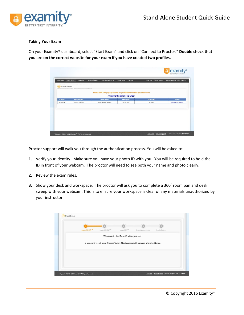

# **Taking Your Exam**

On your Examity® dashboard, select "Start Exam" and click on "Connect to Proctor." **Double check that you are on the correct website for your exam if you have created two profiles.**

| <b>Start Exam</b><br>☞ | My Profile         |                      | Logout                                                                                                      | Live Chat   Email Support | Phone Support: 855-EXAMITY |
|------------------------|--------------------|----------------------|-------------------------------------------------------------------------------------------------------------|---------------------------|----------------------------|
|                        |                    |                      |                                                                                                             |                           |                            |
|                        |                    |                      | Please turn OFF pop-up blocker on your browser before you start exam.<br><b>Computer Requirements Check</b> |                           |                            |
| Exam ID                | <b>Course Name</b> | <b>Exam Name</b>     | <b>Exam Date</b>                                                                                            | <b>Exam Time</b>          | <b>Action</b>              |
| 24100231               | Proctor Training   | Mock Proctor Session | 11/23/2015                                                                                                  | 4:00 PM                   | Connect to proctor         |
|                        |                    |                      |                                                                                                             |                           |                            |
|                        |                    |                      |                                                                                                             |                           |                            |
|                        |                    |                      |                                                                                                             |                           |                            |
|                        |                    |                      |                                                                                                             |                           |                            |
|                        |                    |                      |                                                                                                             |                           |                            |
|                        |                    |                      |                                                                                                             |                           |                            |

Proctor support will walk you through the authentication process. You will be asked to:

- **1.** Verify your identity. Make sure you have your photo ID with you. You will be required to hold the ID in front of your webcam. The proctor will need to see both your name and photo clearly.
- **2.** Review the exam rules.
- **3.** Show your desk and workspace. The proctor will ask you to complete a 360˚ room pan and desk sweep with your webcam. This is to ensure your workspace is clear of any materials unauthorized by your instructor.

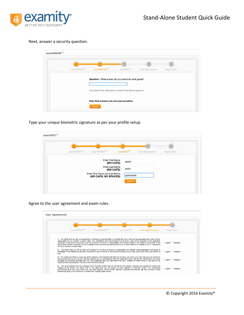![](_page_6_Picture_0.jpeg)

### Next, answer a security question.

| examiSHOW <sup>®</sup> | examiKNOW <sup>®</sup>                                | examiKEY® | <b>User Agreements</b> | Begin Exam |
|------------------------|-------------------------------------------------------|-----------|------------------------|------------|
|                        | You have three attempts to answer the above question. |           |                        |            |
|                        |                                                       |           |                        |            |

Type your unique biometric signature as per your profile setup.

| examiSHOW <sup>®</sup> | examiKNOW®                                             |           | examikEY <sup>®</sup> | User Agreements | Begin Exam |
|------------------------|--------------------------------------------------------|-----------|-----------------------|-----------------|------------|
|                        | <b>Enter First Name</b>                                | (NO CAPS) | jackie                |                 |            |
|                        | Enter Last Name                                        | (NO CAPS) | smith                 |                 |            |
|                        | Enter First Name and Last Name<br>(NO CAPS, NO SPACES) |           | jackiesmith           |                 |            |
|                        |                                                        |           | Submit                |                 |            |

Agree to the user agreement and exam rules.

|      | examiSHOW <sup>®</sup>                                           | examiKNOW <sup>®</sup>                                                                                                                                                                                                                                                                                                                                                                                                 | examikEY | <b>User Agreements</b>                                                                                                             | Begin Exam       |
|------|------------------------------------------------------------------|------------------------------------------------------------------------------------------------------------------------------------------------------------------------------------------------------------------------------------------------------------------------------------------------------------------------------------------------------------------------------------------------------------------------|----------|------------------------------------------------------------------------------------------------------------------------------------|------------------|
|      |                                                                  | university or test sanctioning body, and the company will have no responsibility with respect thereto. You agree to participate in the                                                                                                                                                                                                                                                                                 |          | responsible for any violation of exam rules. You understand and acknowledge that all exam rules will be supplied by the applicable | lagree Disagree  |
| you. | with any violation of exam rules.                                | disciplinary process supported by the university or test sanctioning body should any such party make such request of you in connection<br>2. You agree that you will be held accountable for any and all infractions associated with identity misrepresentation and agree to<br>participate in the disciplinary process supported by the university or test sanctioning body should any such party make any request of |          |                                                                                                                                    | I agree Disagree |
|      | reported to the appropriate university or test sanctioning body. | 3. You understand that by using any of the features of the examity web site and services, you act at your own risk, and you represent<br>and warrant that (a) you are the enrolled student who is authorized to take the applicable exam and (b) the identification you have<br>provided is completely accurate and you fully understand that any falsification will be a violation of these terms of use and will be  |          |                                                                                                                                    | I agree Disagree |